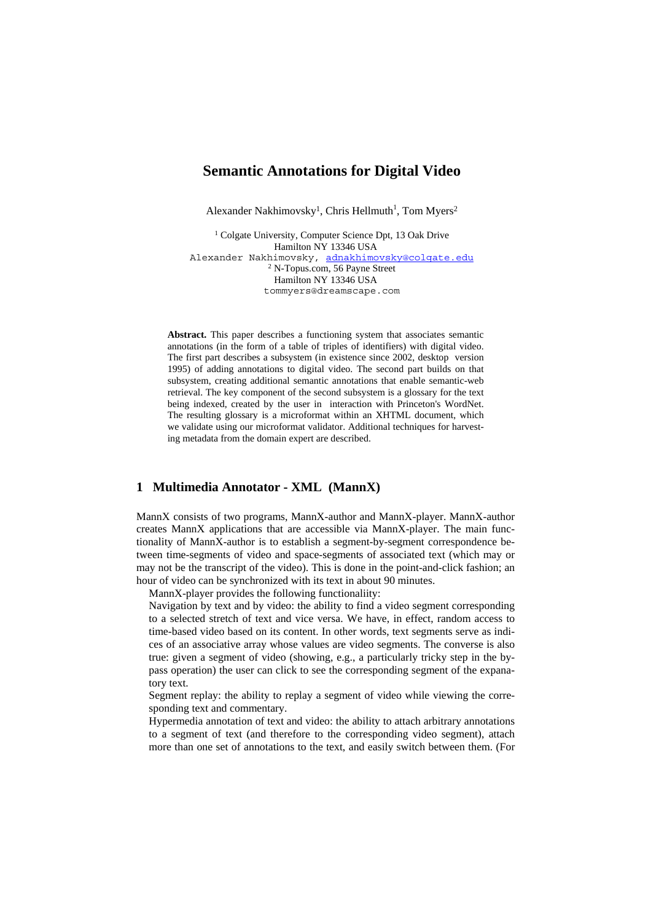# **Semantic Annotations for Digital Video**

Alexander Nakhimovsky<sup>1</sup>, Chris Hellmuth<sup>1</sup>, Tom Myers<sup>2</sup>

<sup>1</sup> Colgate University, Computer Science Dpt, 13 Oak Drive Hamilton NY 13346 USA Alexander Nakhimovsky, adnakhimovsky@colqate.edu 2 N-Topus.com, 56 Payne Street Hamilton NY 13346 USA tommyers@dreamscape.com

**Abstract.** This paper describes a functioning system that associates semantic annotations (in the form of a table of triples of identifiers) with digital video. The first part describes a subsystem (in existence since 2002, desktop version 1995) of adding annotations to digital video. The second part builds on that subsystem, creating additional semantic annotations that enable semantic-web retrieval. The key component of the second subsystem is a glossary for the text being indexed, created by the user in interaction with Princeton's WordNet. The resulting glossary is a microformat within an XHTML document, which we validate using our microformat validator. Additional techniques for harvesting metadata from the domain expert are described.

### **1 Multimedia Annotator - XML (MannX)**

MannX consists of two programs, MannX-author and MannX-player. MannX-author creates MannX applications that are accessible via MannX-player. The main functionality of MannX-author is to establish a segment-by-segment correspondence between time-segments of video and space-segments of associated text (which may or may not be the transcript of the video). This is done in the point-and-click fashion; an hour of video can be synchronized with its text in about 90 minutes.

MannX-player provides the following functionaliity:

 Navigation by text and by video: the ability to find a video segment corresponding to a selected stretch of text and vice versa. We have, in effect, random access to time-based video based on its content. In other words, text segments serve as indices of an associative array whose values are video segments. The converse is also true: given a segment of video (showing, e.g., a particularly tricky step in the bypass operation) the user can click to see the corresponding segment of the expanatory text.

 Segment replay: the ability to replay a segment of video while viewing the corresponding text and commentary.

 Hypermedia annotation of text and video: the ability to attach arbitrary annotations to a segment of text (and therefore to the corresponding video segment), attach more than one set of annotations to the text, and easily switch between them. (For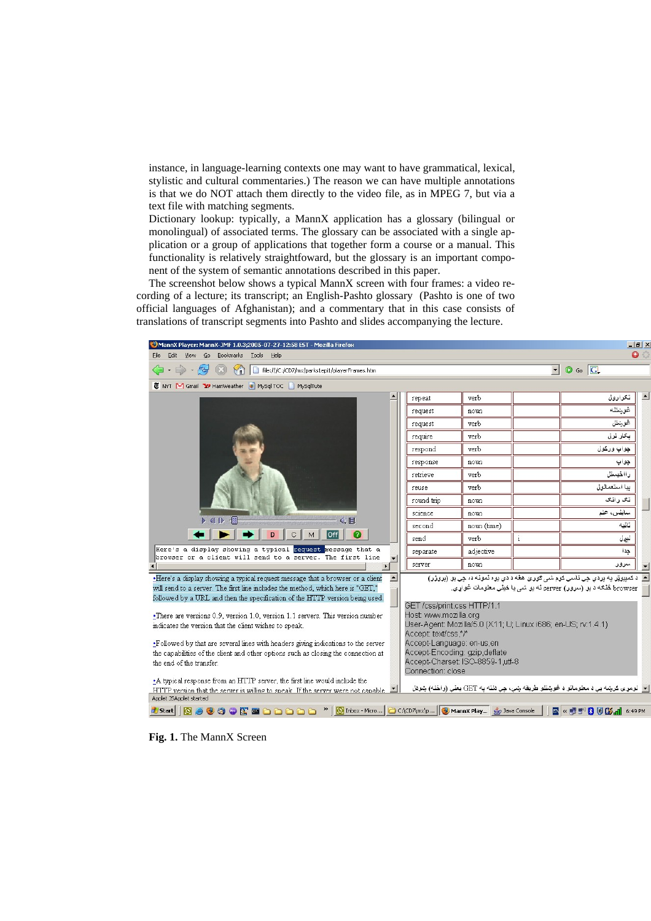instance, in language-learning contexts one may want to have grammatical, lexical, stylistic and cultural commentaries.) The reason we can have multiple annotations is that we do NOT attach them directly to the video file, as in MPEG 7, but via a text file with matching segments.

 Dictionary lookup: typically, a MannX application has a glossary (bilingual or monolingual) of associated terms. The glossary can be associated with a single application or a group of applications that together form a course or a manual. This functionality is relatively straightfoward, but the glossary is an important component of the system of semantic annotations described in this paper.

The screenshot below shows a typical MannX screen with four frames: a video recording of a lecture; its transcript; an English-Pashto glossary (Pashto is one of two official languages of Afghanistan); and a commentary that in this case consists of translations of transcript segments into Pashto and slides accompanying the lecture.



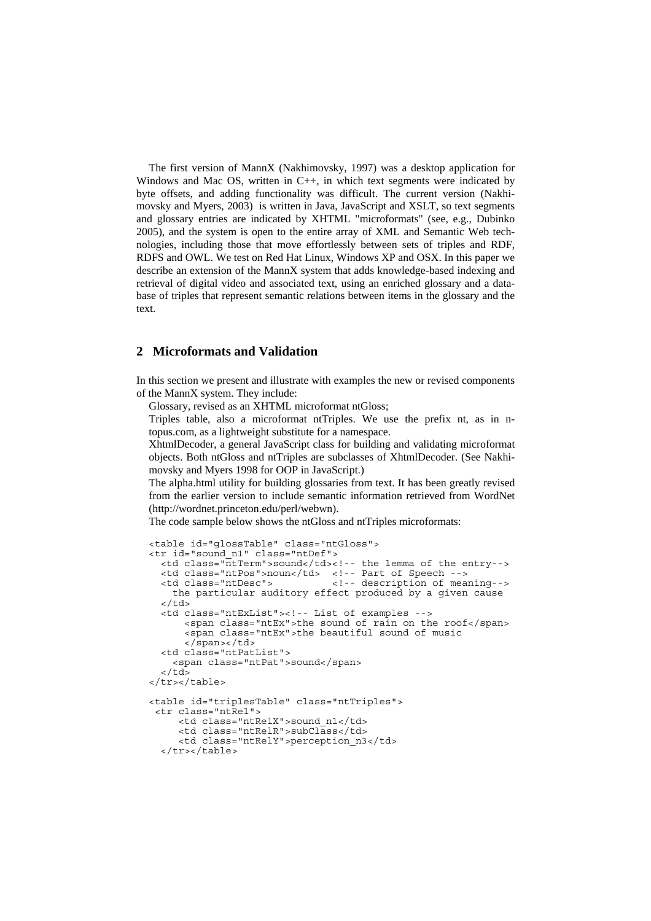The first version of MannX (Nakhimovsky, 1997) was a desktop application for Windows and Mac OS, written in C++, in which text segments were indicated by byte offsets, and adding functionality was difficult. The current version (Nakhimovsky and Myers, 2003) is written in Java, JavaScript and XSLT, so text segments and glossary entries are indicated by XHTML "microformats" (see, e.g., Dubinko 2005), and the system is open to the entire array of XML and Semantic Web technologies, including those that move effortlessly between sets of triples and RDF, RDFS and OWL. We test on Red Hat Linux, Windows XP and OSX. In this paper we describe an extension of the MannX system that adds knowledge-based indexing and retrieval of digital video and associated text, using an enriched glossary and a database of triples that represent semantic relations between items in the glossary and the text.

## **2 Microformats and Validation**

In this section we present and illustrate with examples the new or revised components of the MannX system. They include:

Glossary, revised as an XHTML microformat ntGloss;

 Triples table, also a microformat ntTriples. We use the prefix nt, as in ntopus.com, as a lightweight substitute for a namespace.

 XhtmlDecoder, a general JavaScript class for building and validating microformat objects. Both ntGloss and ntTriples are subclasses of XhtmlDecoder. (See Nakhimovsky and Myers 1998 for OOP in JavaScript.)

 The alpha.html utility for building glossaries from text. It has been greatly revised from the earlier version to include semantic information retrieved from WordNet (http://wordnet.princeton.edu/perl/webwn).

The code sample below shows the ntGloss and ntTriples microformats:

```
<table id="glossTable" class="ntGloss"> 
<tr id="sound_n1" class="ntDef"> 
   <td class="ntTerm">sound</td><!-- the lemma of the entry--> 
   <td class="ntPos">noun</td> <!-- Part of Speech --> 
                                    <td class="ntDesc"> <!-- description of meaning--> 
     the particular auditory effect produced by a given cause 
  \langle t \, d \rangle <td class="ntExList"><!-- List of examples --> 
       <span class="ntEx">the sound of rain on the roof</span> 
        <span class="ntEx">the beautiful sound of music 
        </span></td> 
   <td class="ntPatList"> 
     <span class="ntPat">sound</span> 
  \langle t \, d \rangle</tr></table>
<table id="triplesTable" class="ntTriples"> 
  <tr class="ntRel"> 
      <td class="ntRelX">sound_n1</td> 
      <td class="ntRelR">subClass</td> 
      <td class="ntRelY">perception_n3</td> 
   </tr></table>
```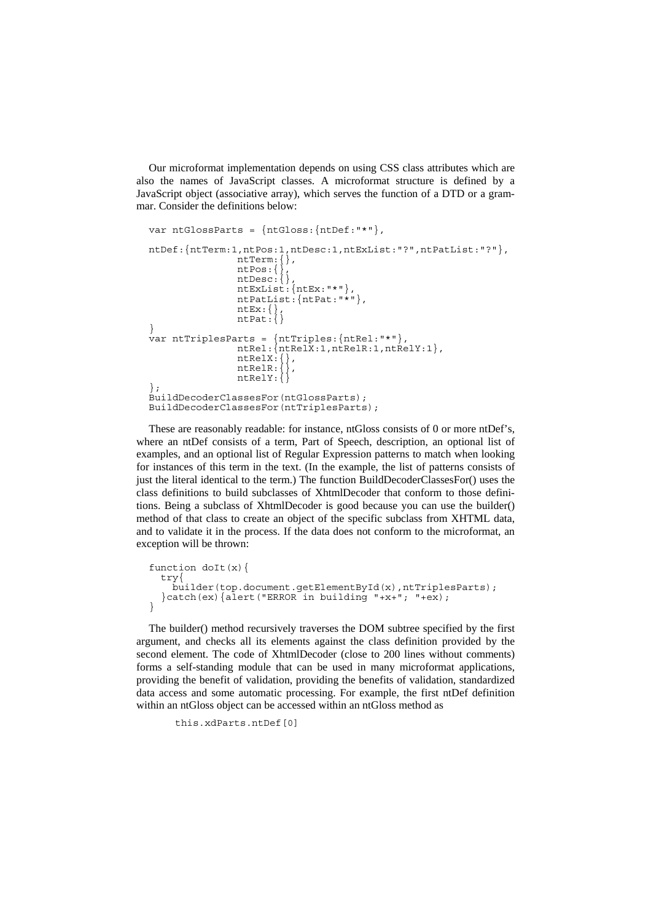Our microformat implementation depends on using CSS class attributes which are also the names of JavaScript classes. A microformat structure is defined by a JavaScript object (associative array), which serves the function of a DTD or a grammar. Consider the definitions below:

```
var ntGlossParts = {ntGloss:{ntDef:"*"}, 
ntDef:{ntTerm:1,ntPos:1,ntDesc:1,ntExList:"?",ntPatList:"?"}, 
           ntTerm: { },
 ntPos:{}, 
ntDesc:\{\},
 ntExList:{ntEx:"*"}, 
 ntPatList:{ntPat:"*"}, 
ntEx: \{\},
ntPat: { }
} 
var ntTriplesParts = {ntTriples:{ntRel:"*"}, 
ntRel: {ntRelX:1, ntRelR:1, ntRelY:1},
ntRelX:\{\},
ntRelR:{},
ntRelY:{}
}; 
BuildDecoderClassesFor(ntGlossParts); 
BuildDecoderClassesFor(ntTriplesParts);
```
These are reasonably readable: for instance, ntGloss consists of 0 or more ntDef's, where an ntDef consists of a term, Part of Speech, description, an optional list of examples, and an optional list of Regular Expression patterns to match when looking for instances of this term in the text. (In the example, the list of patterns consists of just the literal identical to the term.) The function BuildDecoderClassesFor() uses the class definitions to build subclasses of XhtmlDecoder that conform to those definitions. Being a subclass of XhtmlDecoder is good because you can use the builder() method of that class to create an object of the specific subclass from XHTML data, and to validate it in the process. If the data does not conform to the microformat, an exception will be thrown:

```
function doIt(x) {
   try{ 
    builder(top.document.getElementById(x),ntTriplesParts);
  \}catch(ex)\{alert("ERROR in building "+x+"; "+ex);
}
```
The builder() method recursively traverses the DOM subtree specified by the first argument, and checks all its elements against the class definition provided by the second element. The code of XhtmlDecoder (close to 200 lines without comments) forms a self-standing module that can be used in many microformat applications, providing the benefit of validation, providing the benefits of validation, standardized data access and some automatic processing. For example, the first ntDef definition within an ntGloss object can be accessed within an ntGloss method as

```
 this.xdParts.ntDef[0]
```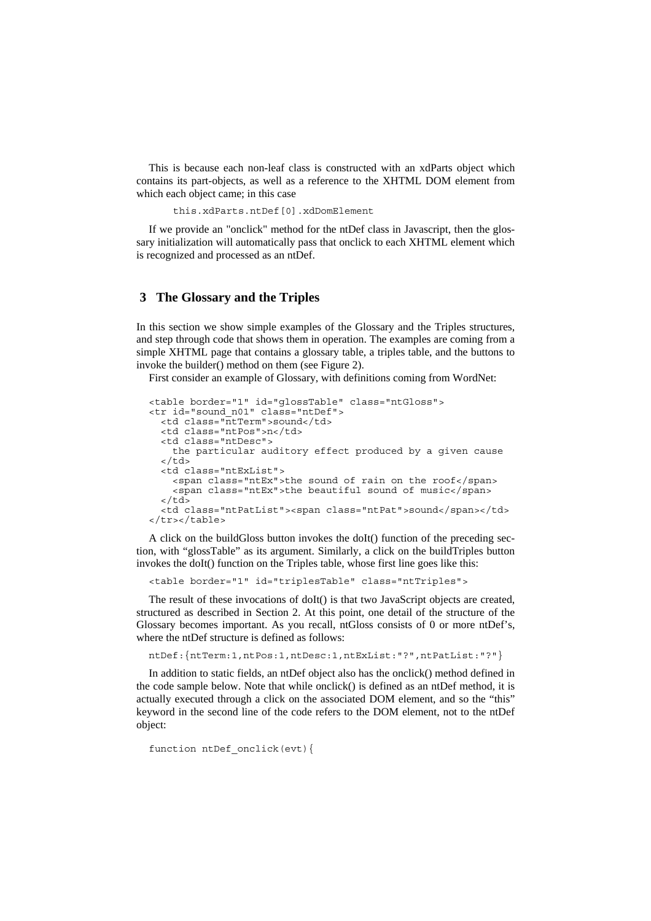This is because each non-leaf class is constructed with an xdParts object which contains its part-objects, as well as a reference to the XHTML DOM element from which each object came; in this case

this.xdParts.ntDef[0].xdDomElement

If we provide an "onclick" method for the ntDef class in Javascript, then the glossary initialization will automatically pass that onclick to each XHTML element which is recognized and processed as an ntDef.

### **3 The Glossary and the Triples**

In this section we show simple examples of the Glossary and the Triples structures, and step through code that shows them in operation. The examples are coming from a simple XHTML page that contains a glossary table, a triples table, and the buttons to invoke the builder() method on them (see Figure 2).

First consider an example of Glossary, with definitions coming from WordNet:

```
<table border="1" id="glossTable" class="ntGloss"> 
<tr id="sound_n01" class="ntDef"> 
   <td class="ntTerm">sound</td> 
   <td class="ntPos">n</td> 
   <td class="ntDesc"> 
     the particular auditory effect produced by a given cause 
  \langletd>
   <td class="ntExList"> 
     <span class="ntEx">the sound of rain on the roof</span> 
     <span class="ntEx">the beautiful sound of music</span> 
  \langle t \, d \rangle <td class="ntPatList"><span class="ntPat">sound</span></td> 
</tr></table>
```
A click on the buildGloss button invokes the doIt() function of the preceding section, with "glossTable" as its argument. Similarly, a click on the buildTriples button invokes the doIt() function on the Triples table, whose first line goes like this:

<table border="1" id="triplesTable" class="ntTriples">

The result of these invocations of doIt() is that two JavaScript objects are created, structured as described in Section 2. At this point, one detail of the structure of the Glossary becomes important. As you recall, ntGloss consists of 0 or more ntDef's, where the ntDef structure is defined as follows:

ntDef:{ntTerm:1,ntPos:1,ntDesc:1,ntExList:"?",ntPatList:"?"}

In addition to static fields, an ntDef object also has the onclick() method defined in the code sample below. Note that while onclick() is defined as an ntDef method, it is actually executed through a click on the associated DOM element, and so the "this" keyword in the second line of the code refers to the DOM element, not to the ntDef object:

function ntDef onclick(evt){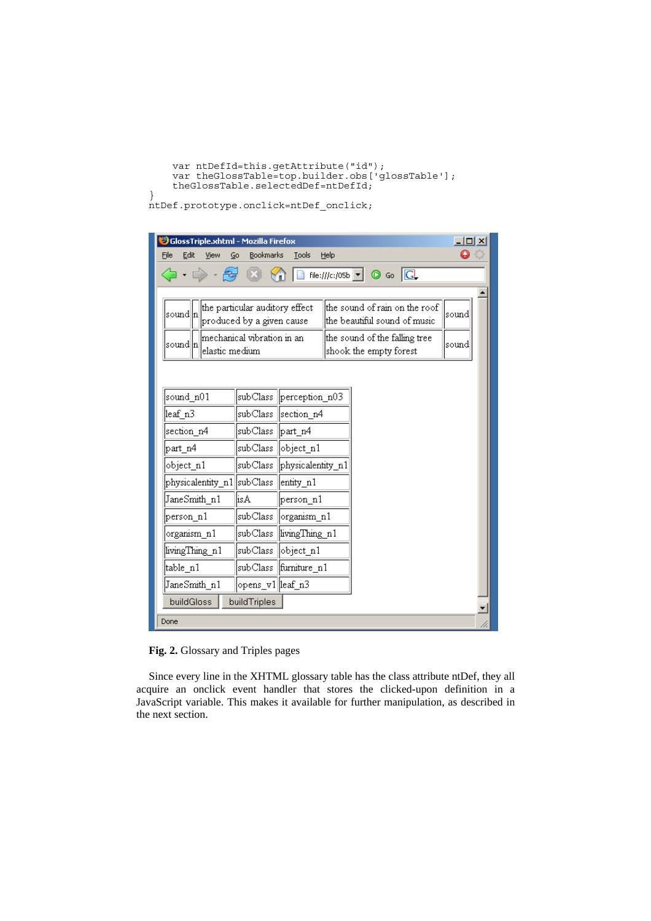```
 var ntDefId=this.getAttribute("id"); 
 var theGlossTable=top.builder.obs['glossTable']; 
 theGlossTable.selectedDef=ntDefId;
```
ntDef.prototype.onclick=ntDef\_onclick;

}

| GlossTriple.xhtml - Mozilla Firefox                                     |                                         |                   |                                                                         | $ \Box$ $\times$ |  |  |  |
|-------------------------------------------------------------------------|-----------------------------------------|-------------------|-------------------------------------------------------------------------|------------------|--|--|--|
| File<br>Edit<br>View<br>Go                                              | <b>Bookmarks</b>                        | Tools             | Help                                                                    |                  |  |  |  |
|                                                                         |                                         |                   | file:///c:/05b $\boxed{\mathbf{v}}$<br>$\circledcirc$ 60 $\circledcirc$ |                  |  |  |  |
|                                                                         |                                         |                   |                                                                         |                  |  |  |  |
| the particular auditory effect<br>sound  n<br>produced by a given cause |                                         |                   | the sound of rain on the roof<br>the beautiful sound of music.          | sound            |  |  |  |
| lmechanical vibration in an<br> sound  n <br>elastic medium             |                                         |                   | the sound of the falling tree<br>shook the empty forest                 | sound            |  |  |  |
|                                                                         |                                         |                   |                                                                         |                  |  |  |  |
| sound n01                                                               | subClass                                | perception n03    |                                                                         |                  |  |  |  |
| leaf n3                                                                 | subClass                                | section n4        |                                                                         |                  |  |  |  |
| section n4                                                              | subClass                                | part n4           |                                                                         |                  |  |  |  |
| part_n4                                                                 | lsubClass .                             | object_n1         |                                                                         |                  |  |  |  |
| object n1                                                               | subClass                                | physicalentity n1 |                                                                         |                  |  |  |  |
|                                                                         | physicalentity_n1 subClass<br>entity_n1 |                   |                                                                         |                  |  |  |  |
| JaneSmith n1                                                            | isA                                     | person_n1         |                                                                         |                  |  |  |  |
| person n1                                                               | subClass                                | organism n1       |                                                                         |                  |  |  |  |
| organism_n1                                                             | subClass                                | living Thing n1   |                                                                         |                  |  |  |  |
| livingThing n1                                                          | subClass                                | object n1         |                                                                         |                  |  |  |  |
| table_n1                                                                | subClass                                | furniture n1      |                                                                         |                  |  |  |  |
| JaneSmith n1                                                            | opens_v1  leaf_n3                       |                   |                                                                         |                  |  |  |  |
| buildGloss                                                              | buildTriples                            |                   |                                                                         | ▾                |  |  |  |
| Done                                                                    |                                         |                   |                                                                         |                  |  |  |  |

**Fig. 2.** Glossary and Triples pages

Since every line in the XHTML glossary table has the class attribute ntDef, they all acquire an onclick event handler that stores the clicked-upon definition in a JavaScript variable. This makes it available for further manipulation, as described in the next section.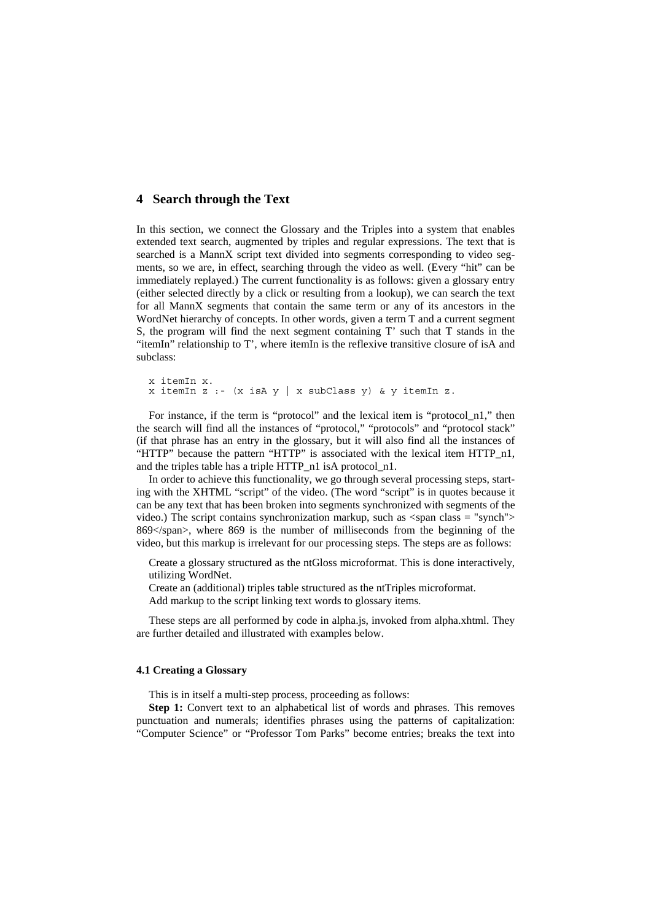## **4 Search through the Text**

In this section, we connect the Glossary and the Triples into a system that enables extended text search, augmented by triples and regular expressions. The text that is searched is a MannX script text divided into segments corresponding to video segments, so we are, in effect, searching through the video as well. (Every "hit" can be immediately replayed.) The current functionality is as follows: given a glossary entry (either selected directly by a click or resulting from a lookup), we can search the text for all MannX segments that contain the same term or any of its ancestors in the WordNet hierarchy of concepts. In other words, given a term T and a current segment S, the program will find the next segment containing T' such that T stands in the "itemIn" relationship to T', where itemIn is the reflexive transitive closure of isA and subclass:

```
x itemIn x. 
x itemIn z :- (x isA y | x subClass y) & y itemIn z.
```
For instance, if the term is "protocol" and the lexical item is "protocol\_n1," then the search will find all the instances of "protocol," "protocols" and "protocol stack" (if that phrase has an entry in the glossary, but it will also find all the instances of "HTTP" because the pattern "HTTP" is associated with the lexical item HTTP\_n1, and the triples table has a triple HTTP\_n1 isA protocol\_n1.

In order to achieve this functionality, we go through several processing steps, starting with the XHTML "script" of the video. (The word "script" is in quotes because it can be any text that has been broken into segments synchronized with segments of the video.) The script contains synchronization markup, such as <span class = "synch"> 869</span>, where 869 is the number of milliseconds from the beginning of the video, but this markup is irrelevant for our processing steps. The steps are as follows:

 Create a glossary structured as the ntGloss microformat. This is done interactively, utilizing WordNet.

Create an (additional) triples table structured as the ntTriples microformat.

Add markup to the script linking text words to glossary items.

These steps are all performed by code in alpha.js, invoked from alpha.xhtml. They are further detailed and illustrated with examples below.

#### **4.1 Creating a Glossary**

This is in itself a multi-step process, proceeding as follows:

**Step 1:** Convert text to an alphabetical list of words and phrases. This removes punctuation and numerals; identifies phrases using the patterns of capitalization: "Computer Science" or "Professor Tom Parks" become entries; breaks the text into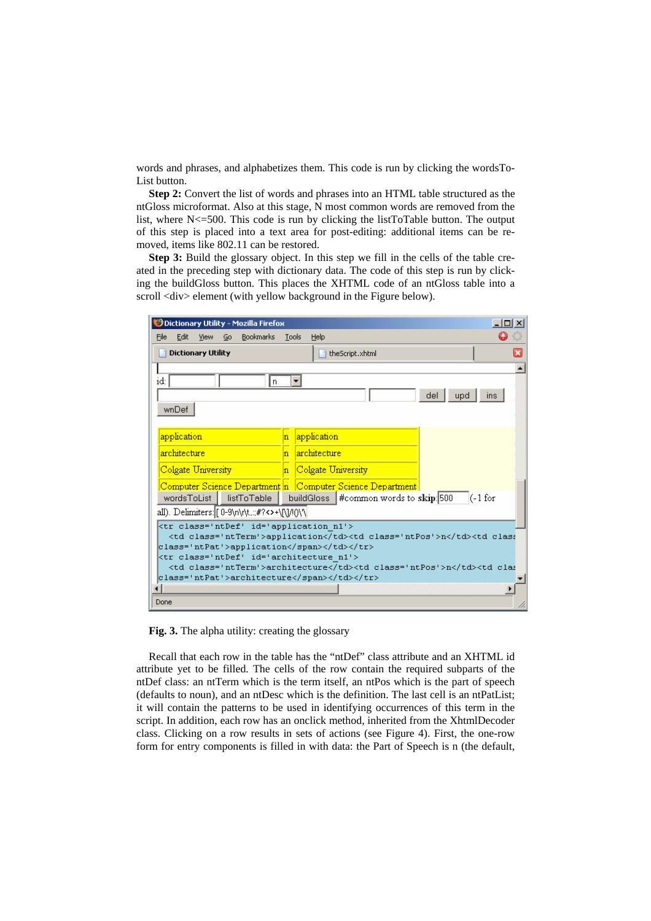words and phrases, and alphabetizes them. This code is run by clicking the wordsTo-List button.

**Step 2:** Convert the list of words and phrases into an HTML table structured as the ntGloss microformat. Also at this stage, N most common words are removed from the list, where N<=500. This code is run by clicking the listToTable button. The output of this step is placed into a text area for post-editing: additional items can be removed, items like 802.11 can be restored.

**Step 3:** Build the glossary object. In this step we fill in the cells of the table created in the preceding step with dictionary data. The code of this step is run by clicking the buildGloss button. This places the XHTML code of an ntGloss table into a scroll <div> element (with yellow background in the Figure below).

| $   \Box   \times  $<br>Dictionary Utility - Mozilla Firefox                           |       |                                                           |                 |  |  |  |             |              |   |  |
|----------------------------------------------------------------------------------------|-------|-----------------------------------------------------------|-----------------|--|--|--|-------------|--------------|---|--|
| <b>Bookmarks</b><br>Edit<br>File<br>View<br>Go                                         | Tools | Help                                                      |                 |  |  |  |             |              |   |  |
| <b>Dictionary Utility</b>                                                              |       | theScript.xhtml                                           | $\vert x \vert$ |  |  |  |             |              |   |  |
|                                                                                        |       |                                                           |                 |  |  |  |             |              |   |  |
| id:<br>Įn.                                                                             |       |                                                           |                 |  |  |  |             |              |   |  |
| del<br>upd<br>ins.                                                                     |       |                                                           |                 |  |  |  |             |              |   |  |
| wnDef                                                                                  |       |                                                           |                 |  |  |  |             |              |   |  |
|                                                                                        |       |                                                           |                 |  |  |  |             |              |   |  |
| application                                                                            | n     | application                                               |                 |  |  |  |             |              |   |  |
| architecture                                                                           | n     | architecture                                              |                 |  |  |  |             |              |   |  |
| Colgate University                                                                     |       | Colgate University                                        |                 |  |  |  |             |              |   |  |
|                                                                                        |       | Computer Science Department n Computer Science Department |                 |  |  |  |             |              |   |  |
| buildGloss #common words to skip: 500<br>$(-1)$ for<br>wordsToList<br>listToTable      |       |                                                           |                 |  |  |  |             |              |   |  |
| all). Delimiters: [0-9\n\r\t.;;#?<>+\[\]/!()\'\                                        |       |                                                           |                 |  |  |  |             |              |   |  |
| <tr class="ntDef" id="application n1"></tr>                                            |       |                                                           |                 |  |  |  |             |              |   |  |
|                                                                                        |       |                                                           |                 |  |  |  |             |              |   |  |
| <td class="ntTerm">application</td> <td class="ntPos">n</td> <td class<="" td=""></td> |       |                                                           |                 |  |  |  | application | n            |   |  |
| class='ntPat'>application                                                              |       |                                                           |                 |  |  |  |             |              |   |  |
|                                                                                        |       |                                                           |                 |  |  |  |             |              |   |  |
| <td class="ntTerm">architecture</td> <td class="ntPos">n</td> <td clas<="" td=""></td> |       |                                                           |                 |  |  |  |             | architecture | n |  |
| class='ntPat'>architecture                                                             |       |                                                           |                 |  |  |  |             |              |   |  |
|                                                                                        |       |                                                           |                 |  |  |  |             |              |   |  |
| Done<br>h,                                                                             |       |                                                           |                 |  |  |  |             |              |   |  |

**Fig. 3.** The alpha utility: creating the glossary

Recall that each row in the table has the "ntDef" class attribute and an XHTML id attribute yet to be filled. The cells of the row contain the required subparts of the ntDef class: an ntTerm which is the term itself, an ntPos which is the part of speech (defaults to noun), and an ntDesc which is the definition. The last cell is an ntPatList; it will contain the patterns to be used in identifying occurrences of this term in the script. In addition, each row has an onclick method, inherited from the XhtmlDecoder class. Clicking on a row results in sets of actions (see Figure 4). First, the one-row form for entry components is filled in with data: the Part of Speech is n (the default,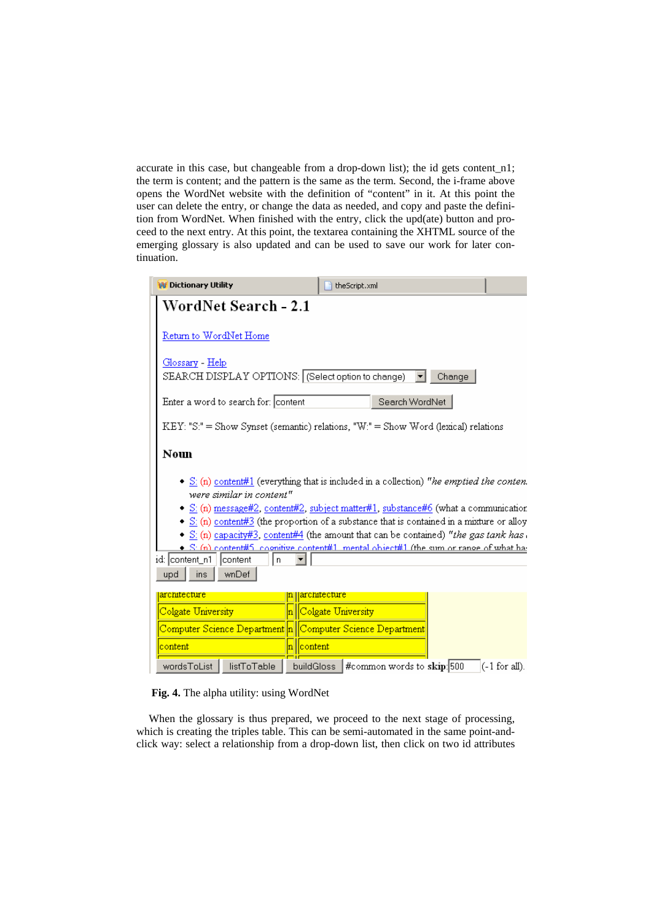accurate in this case, but changeable from a drop-down list); the id gets content\_n1; the term is content; and the pattern is the same as the term. Second, the i-frame above opens the WordNet website with the definition of "content" in it. At this point the user can delete the entry, or change the data as needed, and copy and paste the definition from WordNet. When finished with the entry, click the upd(ate) button and proceed to the next entry. At this point, the textarea containing the XHTML source of the emerging glossary is also updated and can be used to save our work for later continuation.

|                                                                                                                                                                                                                                                                                                                                                                                                                                                                                                                                                                    | <b>W</b> Dictionary Utility                                                            | theScript.xml                            |                  |  |  |  |  |  |  |
|--------------------------------------------------------------------------------------------------------------------------------------------------------------------------------------------------------------------------------------------------------------------------------------------------------------------------------------------------------------------------------------------------------------------------------------------------------------------------------------------------------------------------------------------------------------------|----------------------------------------------------------------------------------------|------------------------------------------|------------------|--|--|--|--|--|--|
|                                                                                                                                                                                                                                                                                                                                                                                                                                                                                                                                                                    | <b>WordNet Search - 2.1</b>                                                            |                                          |                  |  |  |  |  |  |  |
|                                                                                                                                                                                                                                                                                                                                                                                                                                                                                                                                                                    | Return to WordNet Home                                                                 |                                          |                  |  |  |  |  |  |  |
|                                                                                                                                                                                                                                                                                                                                                                                                                                                                                                                                                                    | <u> Glossary - Help</u><br>SEARCH DISPLAY OPTIONS: (Select option to change)<br>Change |                                          |                  |  |  |  |  |  |  |
|                                                                                                                                                                                                                                                                                                                                                                                                                                                                                                                                                                    | Enter a word to search for: content<br>Search WordNet                                  |                                          |                  |  |  |  |  |  |  |
|                                                                                                                                                                                                                                                                                                                                                                                                                                                                                                                                                                    | $KEY: "S." = Show Synset (semantic) relations, "W." = Show Word (lexical) relations$   |                                          |                  |  |  |  |  |  |  |
|                                                                                                                                                                                                                                                                                                                                                                                                                                                                                                                                                                    | Noun                                                                                   |                                          |                  |  |  |  |  |  |  |
| • $S_i(n)$ content#1 (everything that is included in a collection) "he emptied the conten.<br>were similar in content"<br>• $\leq$ (n) message#2, content#2, subject matter#1, substance#6 (what a communication<br>• S: (n) content#3 (the proportion of a substance that is contained in a mixture or alloy<br>• S: (n) capacity#3, content#4 (the amount that can be contained) "the gas tank has.<br>$\bullet$ S: (n) content#5, coonitive content#1, mental object#1 (the sum or range of what has<br>id: content_n1  <br>content<br>n<br>wnDef<br>upd<br>ins |                                                                                        |                                          |                  |  |  |  |  |  |  |
|                                                                                                                                                                                                                                                                                                                                                                                                                                                                                                                                                                    | architecture                                                                           | architecture                             |                  |  |  |  |  |  |  |
|                                                                                                                                                                                                                                                                                                                                                                                                                                                                                                                                                                    | Colgate University                                                                     | Colgate University                       |                  |  |  |  |  |  |  |
|                                                                                                                                                                                                                                                                                                                                                                                                                                                                                                                                                                    |                                                                                        |                                          |                  |  |  |  |  |  |  |
|                                                                                                                                                                                                                                                                                                                                                                                                                                                                                                                                                                    | n   content<br>content                                                                 |                                          |                  |  |  |  |  |  |  |
|                                                                                                                                                                                                                                                                                                                                                                                                                                                                                                                                                                    | wordsToList<br>listToTable                                                             | #common words to skip: 500<br>buildGloss | $(-1)$ for all). |  |  |  |  |  |  |



When the glossary is thus prepared, we proceed to the next stage of processing, which is creating the triples table. This can be semi-automated in the same point-andclick way: select a relationship from a drop-down list, then click on two id attributes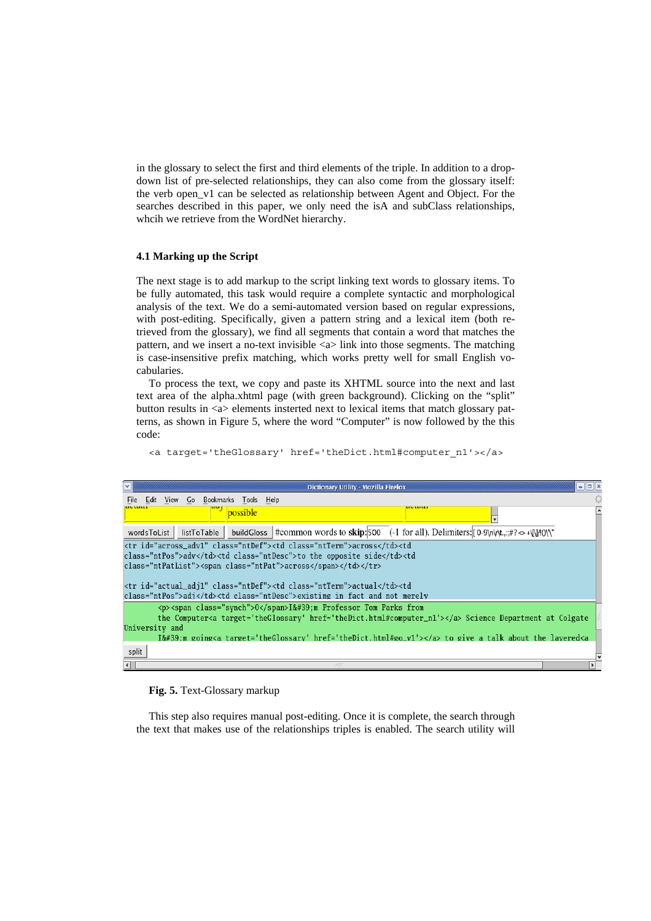in the glossary to select the first and third elements of the triple. In addition to a dropdown list of pre-selected relationships, they can also come from the glossary itself: the verb open\_v1 can be selected as relationship between Agent and Object. For the searches described in this paper, we only need the isA and subClass relationships, whcih we retrieve from the WordNet hierarchy.

#### **4.1 Marking up the Script**

The next stage is to add markup to the script linking text words to glossary items. To be fully automated, this task would require a complete syntactic and morphological analysis of the text. We do a semi-automated version based on regular expressions, with post-editing. Specifically, given a pattern string and a lexical item (both retrieved from the glossary), we find all segments that contain a word that matches the pattern, and we insert a no-text invisible  $\langle a \rangle$  link into those segments. The matching is case-insensitive prefix matching, which works pretty well for small English vocabularies.

To process the text, we copy and paste its XHTML source into the next and last text area of the alpha.xhtml page (with green background). Clicking on the "split" button results in <a> elements insterted next to lexical items that match glossary patterns, as shown in Figure 5, where the word "Computer" is now followed by the this code:

| $ \overline{\mathbf{v}} $<br>Dictionary Utility - Mozilla Firefox                                                                                                                                                                                                                                                                                                                                                                                                                                                                                                                                                                                                                                                             | $ \blacksquare$ |  |  |  |  |  |                      |                                 |                   |  |  |  |  |  |                      |                                                      |                                 |                                                                 |  |  |  |  |  |  |  |                                                                                                         |  |  |  |  |  |  |                |  |                                                                                                                             |  |       |  |                            |  |
|-------------------------------------------------------------------------------------------------------------------------------------------------------------------------------------------------------------------------------------------------------------------------------------------------------------------------------------------------------------------------------------------------------------------------------------------------------------------------------------------------------------------------------------------------------------------------------------------------------------------------------------------------------------------------------------------------------------------------------|-----------------|--|--|--|--|--|----------------------|---------------------------------|-------------------|--|--|--|--|--|----------------------|------------------------------------------------------|---------------------------------|-----------------------------------------------------------------|--|--|--|--|--|--|--|---------------------------------------------------------------------------------------------------------|--|--|--|--|--|--|----------------|--|-----------------------------------------------------------------------------------------------------------------------------|--|-------|--|----------------------------|--|
| View Go Bookmarks Tools Help<br>Edit<br>File                                                                                                                                                                                                                                                                                                                                                                                                                                                                                                                                                                                                                                                                                  |                 |  |  |  |  |  |                      |                                 |                   |  |  |  |  |  |                      |                                                      |                                 |                                                                 |  |  |  |  |  |  |  |                                                                                                         |  |  |  |  |  |  |                |  |                                                                                                                             |  |       |  |                            |  |
| avuai<br>possible                                                                                                                                                                                                                                                                                                                                                                                                                                                                                                                                                                                                                                                                                                             |                 |  |  |  |  |  |                      |                                 |                   |  |  |  |  |  |                      |                                                      |                                 |                                                                 |  |  |  |  |  |  |  |                                                                                                         |  |  |  |  |  |  |                |  |                                                                                                                             |  |       |  |                            |  |
| listToTable buildGloss #common words to skip: 500 (-1 for all). Delimiters: $[0.9\eta/\tau,\pi/300\eta/\tau]$<br>wordsToList                                                                                                                                                                                                                                                                                                                                                                                                                                                                                                                                                                                                  |                 |  |  |  |  |  |                      |                                 |                   |  |  |  |  |  |                      |                                                      |                                 |                                                                 |  |  |  |  |  |  |  |                                                                                                         |  |  |  |  |  |  |                |  |                                                                                                                             |  |       |  |                            |  |
| <tr class="ntDef" id="across_adv1"><td class="ntTerm">across</td><td< td=""></td<></tr> <tr><td colspan="7">class="ntPos"&gt;adv</td><td class="ntDesc">to the opposite side</td><td< td=""></td<></tr> <tr><td colspan="8">class="ntPatList"&gt;<span class="ntPat">across</span></td></tr>                                                                                                                                                                                                                                                                                                                                                                                                                                  |                 |  |  |  |  |  | across               | class="ntPos">adv               |                   |  |  |  |  |  | to the opposite side | class="ntPatList"> <span class="ntPat">across</span> |                                 |                                                                 |  |  |  |  |  |  |  |                                                                                                         |  |  |  |  |  |  |                |  |                                                                                                                             |  |       |  |                            |  |
| across                                                                                                                                                                                                                                                                                                                                                                                                                                                                                                                                                                                                                                                                                                                        |                 |  |  |  |  |  |                      |                                 |                   |  |  |  |  |  |                      |                                                      |                                 |                                                                 |  |  |  |  |  |  |  |                                                                                                         |  |  |  |  |  |  |                |  |                                                                                                                             |  |       |  |                            |  |
| class="ntPos">adv                                                                                                                                                                                                                                                                                                                                                                                                                                                                                                                                                                                                                                                                                                             |                 |  |  |  |  |  | to the opposite side |                                 |                   |  |  |  |  |  |                      |                                                      |                                 |                                                                 |  |  |  |  |  |  |  |                                                                                                         |  |  |  |  |  |  |                |  |                                                                                                                             |  |       |  |                            |  |
| class="ntPatList"> <span class="ntPat">across</span>                                                                                                                                                                                                                                                                                                                                                                                                                                                                                                                                                                                                                                                                          |                 |  |  |  |  |  |                      |                                 |                   |  |  |  |  |  |                      |                                                      |                                 |                                                                 |  |  |  |  |  |  |  |                                                                                                         |  |  |  |  |  |  |                |  |                                                                                                                             |  |       |  |                            |  |
| <tr class="ntDef" id="actual_adj1"><td class="ntTerm">actual</td><td< td=""></td<></tr> <tr><td colspan="8">class="ntPos"&gt;adi</td><td class="ntDesc">existing in fact and not merely</td></tr> <tr><td colspan="8"><p><span class="synch">0</span>I'm Professor Tom Parks from</p></td></tr> <tr><td colspan="7">the Computer<a href="theDict.html#computer_n1" target="theGlossary"></a> Science Department at Colgate</td></tr> <tr><td>University and</td><td></td></tr> <tr><td>I':m going<a href="theDict.html#go_v1" target="theGlossary"></a> to_give_a_talk_about_the_lavered<a< td=""><td></td></a<></td></tr> <tr><td>split</td><td></td></tr> <tr><td><math>\vert \cdot \vert</math><br/>111</td><td></td></tr> |                 |  |  |  |  |  |                      | actual                          | class="ntPos">adi |  |  |  |  |  |                      |                                                      | existing in fact and not merely | <p><span class="synch">0</span>I'm Professor Tom Parks from</p> |  |  |  |  |  |  |  | the Computer <a href="theDict.html#computer_n1" target="theGlossary"></a> Science Department at Colgate |  |  |  |  |  |  | University and |  | I':m going <a href="theDict.html#go_v1" target="theGlossary"></a> to_give_a_talk_about_the_lavered <a< td=""><td></td></a<> |  | split |  | $\vert \cdot \vert$<br>111 |  |
| actual                                                                                                                                                                                                                                                                                                                                                                                                                                                                                                                                                                                                                                                                                                                        |                 |  |  |  |  |  |                      |                                 |                   |  |  |  |  |  |                      |                                                      |                                 |                                                                 |  |  |  |  |  |  |  |                                                                                                         |  |  |  |  |  |  |                |  |                                                                                                                             |  |       |  |                            |  |
| class="ntPos">adi                                                                                                                                                                                                                                                                                                                                                                                                                                                                                                                                                                                                                                                                                                             |                 |  |  |  |  |  |                      | existing in fact and not merely |                   |  |  |  |  |  |                      |                                                      |                                 |                                                                 |  |  |  |  |  |  |  |                                                                                                         |  |  |  |  |  |  |                |  |                                                                                                                             |  |       |  |                            |  |
| <p><span class="synch">0</span>I'm Professor Tom Parks from</p>                                                                                                                                                                                                                                                                                                                                                                                                                                                                                                                                                                                                                                                               |                 |  |  |  |  |  |                      |                                 |                   |  |  |  |  |  |                      |                                                      |                                 |                                                                 |  |  |  |  |  |  |  |                                                                                                         |  |  |  |  |  |  |                |  |                                                                                                                             |  |       |  |                            |  |
| the Computer <a href="theDict.html#computer_n1" target="theGlossary"></a> Science Department at Colgate                                                                                                                                                                                                                                                                                                                                                                                                                                                                                                                                                                                                                       |                 |  |  |  |  |  |                      |                                 |                   |  |  |  |  |  |                      |                                                      |                                 |                                                                 |  |  |  |  |  |  |  |                                                                                                         |  |  |  |  |  |  |                |  |                                                                                                                             |  |       |  |                            |  |
| University and                                                                                                                                                                                                                                                                                                                                                                                                                                                                                                                                                                                                                                                                                                                |                 |  |  |  |  |  |                      |                                 |                   |  |  |  |  |  |                      |                                                      |                                 |                                                                 |  |  |  |  |  |  |  |                                                                                                         |  |  |  |  |  |  |                |  |                                                                                                                             |  |       |  |                            |  |
| I':m going <a href="theDict.html#go_v1" target="theGlossary"></a> to_give_a_talk_about_the_lavered <a< td=""><td></td></a<>                                                                                                                                                                                                                                                                                                                                                                                                                                                                                                                                                                                                   |                 |  |  |  |  |  |                      |                                 |                   |  |  |  |  |  |                      |                                                      |                                 |                                                                 |  |  |  |  |  |  |  |                                                                                                         |  |  |  |  |  |  |                |  |                                                                                                                             |  |       |  |                            |  |
| split                                                                                                                                                                                                                                                                                                                                                                                                                                                                                                                                                                                                                                                                                                                         |                 |  |  |  |  |  |                      |                                 |                   |  |  |  |  |  |                      |                                                      |                                 |                                                                 |  |  |  |  |  |  |  |                                                                                                         |  |  |  |  |  |  |                |  |                                                                                                                             |  |       |  |                            |  |
| $\vert \cdot \vert$<br>111                                                                                                                                                                                                                                                                                                                                                                                                                                                                                                                                                                                                                                                                                                    |                 |  |  |  |  |  |                      |                                 |                   |  |  |  |  |  |                      |                                                      |                                 |                                                                 |  |  |  |  |  |  |  |                                                                                                         |  |  |  |  |  |  |                |  |                                                                                                                             |  |       |  |                            |  |

<a target='theGlossary' href='theDict.html#computer\_n1'></a>

#### **Fig. 5.** Text-Glossary markup

This step also requires manual post-editing. Once it is complete, the search through the text that makes use of the relationships triples is enabled. The search utility will